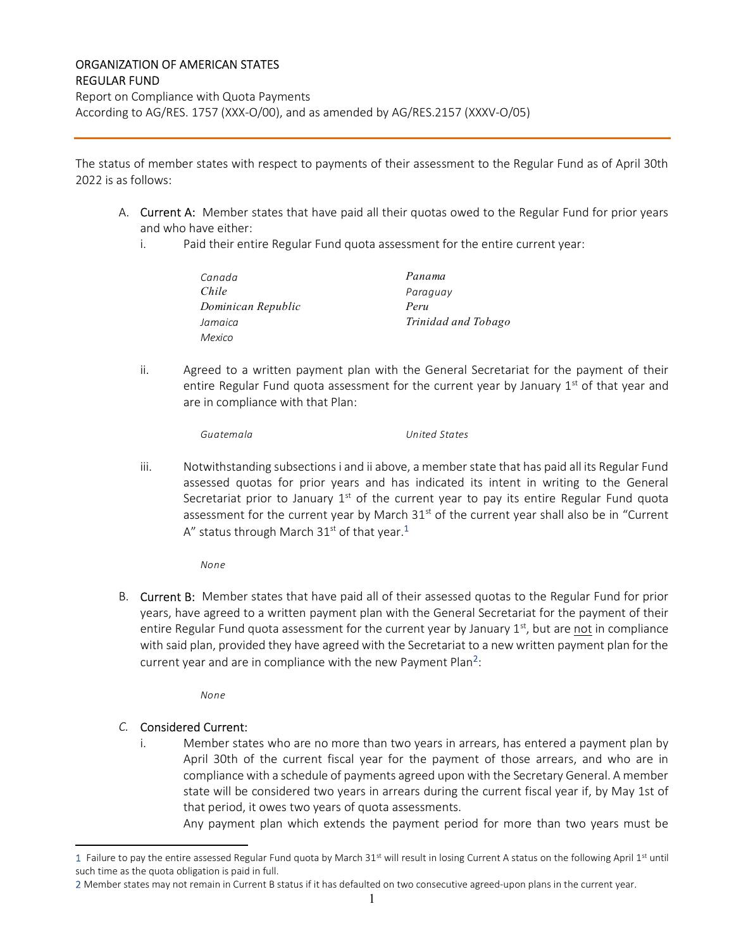## ORGANIZATION OF AMERICAN STATES REGULAR FUND

Report on Compliance with Quota Payments According to AG/RES. 1757 (XXX-O/00), and as amended by AG/RES.2157 (XXXV-O/05)

The status of member states with respect to payments of their assessment to the Regular Fund as of April 30th 2022 is as follows:

- A. Current A: Member states that have paid all their quotas owed to the Regular Fund for prior years and who have either:
	- i. Paid their entire Regular Fund quota assessment for the entire current year:

| Canada             | Panama              |
|--------------------|---------------------|
| Chile              | Paraguay            |
| Dominican Republic | Peru                |
| Jamaica            | Trinidad and Tobago |
| Mexico             |                     |

ii. Agreed to a written payment plan with the General Secretariat for the payment of their entire Regular Fund quota assessment for the current year by January  $1<sup>st</sup>$  of that year and are in compliance with that Plan:

Guatemala United States

iii. Notwithstanding subsections i and ii above, a member state that has paid all its Regular Fund assessed quotas for prior years and has indicated its intent in writing to the General Secretariat prior to January  $1<sup>st</sup>$  of the current year to pay its entire Regular Fund quota assessment for the current year by March  $31<sup>st</sup>$  of the current year shall also be in "Current A" status through March 31<sup>st</sup> of that year.<sup>1</sup>

None

B. Current B: Member states that have paid all of their assessed quotas to the Regular Fund for prior years, have agreed to a written payment plan with the General Secretariat for the payment of their entire Regular Fund quota assessment for the current year by January  $1<sup>st</sup>$ , but are not in compliance with said plan, provided they have agreed with the Secretariat to a new written payment plan for the current year and are in compliance with the new Payment Plan<sup>2</sup>:

None

## C. Considered Current:

i. Member states who are no more than two years in arrears, has entered a payment plan by April 30th of the current fiscal year for the payment of those arrears, and who are in compliance with a schedule of payments agreed upon with the Secretary General. A member state will be considered two years in arrears during the current fiscal year if, by May 1st of that period, it owes two years of quota assessments.

Any payment plan which extends the payment period for more than two years must be

<sup>1</sup> Failure to pay the entire assessed Regular Fund quota by March 31<sup>st</sup> will result in losing Current A status on the following April 1<sup>st</sup> until such time as the quota obligation is paid in full.

<sup>2</sup> Member states may not remain in Current B status if it has defaulted on two consecutive agreed-upon plans in the current year.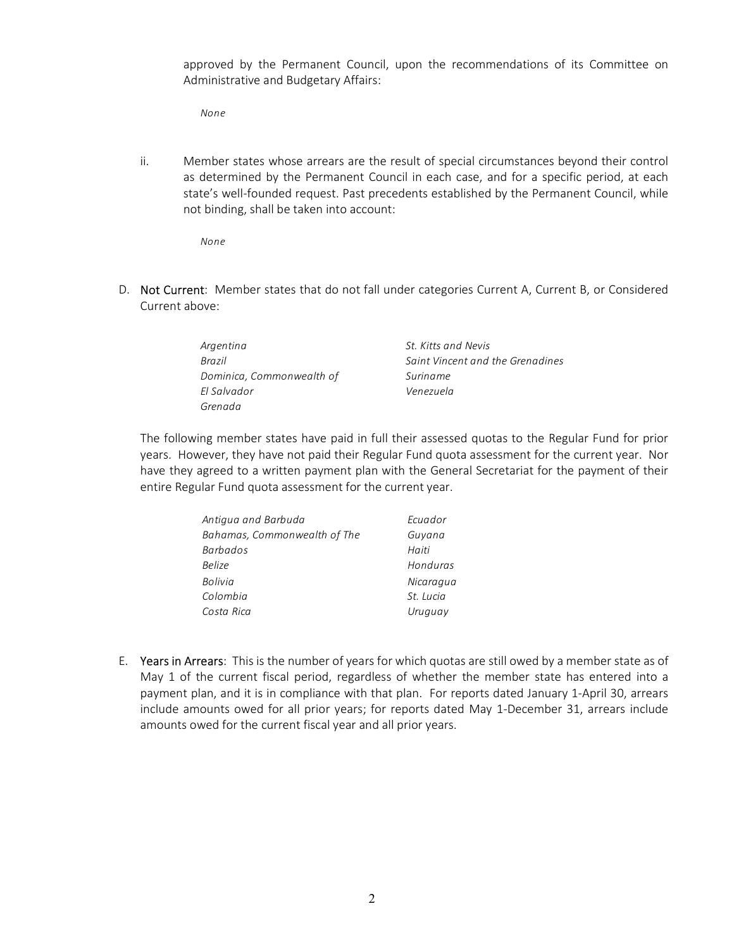approved by the Permanent Council, upon the recommendations of its Committee on Administrative and Budgetary Affairs:

None

ii. Member states whose arrears are the result of special circumstances beyond their control as determined by the Permanent Council in each case, and for a specific period, at each state's well-founded request. Past precedents established by the Permanent Council, while not binding, shall be taken into account:

None

D. Not Current: Member states that do not fall under categories Current A, Current B, or Considered Current above:

| Argentina                 | St. Kitts and Nevis              |
|---------------------------|----------------------------------|
| Brazil                    | Saint Vincent and the Grenadines |
| Dominica, Commonwealth of | Suriname                         |
| El Salvador               | Venezuela                        |
| Grenada                   |                                  |

The following member states have paid in full their assessed quotas to the Regular Fund for prior years. However, they have not paid their Regular Fund quota assessment for the current year. Nor have they agreed to a written payment plan with the General Secretariat for the payment of their entire Regular Fund quota assessment for the current year.

| Antigua and Barbuda          | Ecuador   |  |  |
|------------------------------|-----------|--|--|
| Bahamas, Commonwealth of The | Guyana    |  |  |
| <b>Barbados</b>              | Haiti     |  |  |
| <b>Belize</b>                | Honduras  |  |  |
| Bolivia                      | Nicaragua |  |  |
| Colombia                     | St. Lucia |  |  |
| Costa Rica                   | Uruguay   |  |  |

E. Years in Arrears: This is the number of years for which quotas are still owed by a member state as of May 1 of the current fiscal period, regardless of whether the member state has entered into a payment plan, and it is in compliance with that plan. For reports dated January 1-April 30, arrears include amounts owed for all prior years; for reports dated May 1-December 31, arrears include amounts owed for the current fiscal year and all prior years.